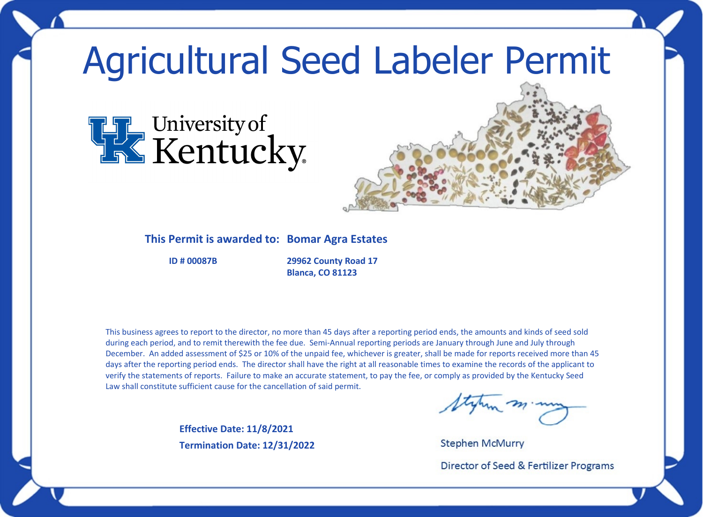## Agricultural Seed Labeler Permit





## **This Permit is awarded to: Bomar Agra Estates**

**ID # 00087B**

**29962 County Road 17 Blanca, CO 81123**

This business agrees to report to the director, no more than 45 days after a reporting period ends, the amounts and kinds of seed sold during each period, and to remit therewith the fee due. Semi-Annual reporting periods are January through June and July through December. An added assessment of \$25 or 10% of the unpaid fee, whichever is greater, shall be made for reports received more than 45 days after the reporting period ends. The director shall have the right at all reasonable times to examine the records of the applicant to verify the statements of reports. Failure to make an accurate statement, to pay the fee, or comply as provided by the Kentucky Seed Law shall constitute sufficient cause for the cancellation of said permit.

> **Effective Date: 11/8/2021 Termination Date: 12/31/2022**

**Stephen McMurry** 

Director of Seed & Fertilizer Programs